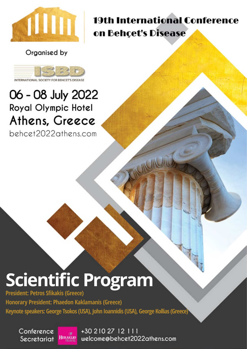

19th International Conference on Behçet's Disease

Organised by



INTERNATIONAL SOCIET

## 06 - 08 July 2022 **Royal Olympic Hotel** Athens, Greece

behcet2022athens.com

# **Scientific Program**

**President: Petros Sfikakis (Greece)** 

**Honorary President: Phaedon Kaklamanis (Greece) Keynote speakers: George Tsokos (USA), John Ioannidis (USA), George Kollias (Greece)**

Conference **HERAKLIO** Secretariat

+30 210 27 12 111 welcome@behcet2022athens.com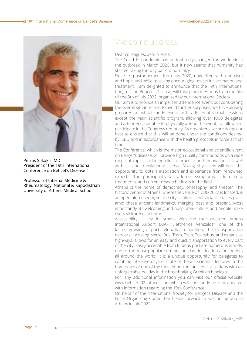

Petros Sfikakis, MD President of the 19th International Conference on Behçet's Disease

Professor of Internal Medicine & Rheumatology, National & Kapodistrian University of Athens Medical School

## Welcome address

Dear colleagues, dear friends,

The Covid-19 pandemic has undoubtedly changed the world since the outbreak in March 2020, but it now seems that humanity has started taking the way back to normalcy.

Since its postponement from July 2020, now, filled with optimism and hope, and while receiving encouraging results in vaccination and treatment, I am delighted to announce that the 19th International Congress on Behçet's Disease, will take place in Athens from the 6th till the 8th of July 2022, organized by our International Society.

Our aim is to provide an in-person attendance event, but considering the overall situation and to avoid further surprises, we have already prepared a hybrid mode event with additional virtual sessions except the main scientific program, allowing over 1000 delegates and attendees, not able to physically attend the event, to follow and participate in the Congress remotely. As organizers, we are doing our best to ensure that this will be done under the conditions desired by ISBD and in accordance with the health protocols in force at that time.

The Conference, which is the major educational and scientific event on Behçet's disease, will provide high quality contributions on a wide range of topics including clinical practice and innovations as well as basic and translational science. Young physicians will have the opportunity to obtain inspiration and experience from renowned experts. The participants will address symptoms, side effects, treatments, and current research efforts in the field.

Athens is the home of democracy, philosophy, and theater. The historic center of Athens, where the venue of ICBD 2022 is located, is an open-air museum, yet the city's cultural and social life takes place amid these ancient landmarks, merging past and present. Most importantly, its welcoming and hospitable culture and people make every visitor feel at home.

Accessibility is key in Athens with the multi-awarded Athens International Airport (AIA) "Eleftherios Venizelos", one of the fastest-growing airports globally. In addition, the transportation network, including Metro, Bus, Tram, Train, Trolleybus, and expansive highways, allows for an easy and quick transportation to every part of the city. Easily accessible from Piraeus port are numerous islands, one of the most popular summer holiday destinations for tourists all around the world. It is a unique opportunity for delegates to combine intensive days of state-of the-art scientific lectures in the hometown of one of the most important ancient civilizations with an unforgettable holiday in the breathtaking Greek archipelago.

For any additional information you can visit our official website www.behcet2022athens.com which will constantly be kept updated with information regarding the 19th Conference.

On behalf of the International Society for Behçet's Disease and the Local Organizing Committee I look forward to welcoming you in Athens in July 2022.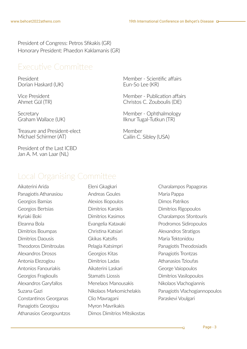President of Congress: Petros Sfikakis (GR) Honorary President: Phaedon Kaklamanis (GR)

### Executive Committee

President Dorian Haskard (UK)

Vice President Ahmet Gül (TR)

Secretary Graham Wallace (UK)

Treasure and President-elect Michael Schirmer (AT)

President of the Last ICBD Jan A. M. van Laar (NL)

Member - Scientific affairs Eun-So Lee (KR)

Member - Publication affairs Christos C. Zouboulis (DE)

Member - Ophthalmology Ilknur Tugal-Tutkun (TR)

Member Cailin C. Sibley (USA)

## Local Organising Committee

Aikaterini Arida Panagiotis Athanasiou Georgios Bamias Georgios Bertsias Kyriaki Boki Eleanna Bola Dimitrios Boumpas Dimitrios Daousis Theodoros Dimitroulas Alexandros Drosos Antonia Elezoglou Antonios Fanouriakis Georgios Fragkoulis Alexandros Garyfallos Suzana Gazi Constantinos Georganas Panagiotis Georgiou Athanasios Georgountzos

Eleni Gkagkari Andreas Goules Alexios Iliopoulos Dimitrios Karokis Dimitrios Kasimos Evangelia Kataxaki Christina Katsiari Gkikas Katsifis Pelagia Katsimpri Georgios Kitas Dimitrios Ladas Aikaterini Laskari Stamatis Liossis Menelaos Manousakis Nikolaos Markomichelakis Clio Mavragani Myron Mavrikakis Dimos Dimitrios Mitsikostas Charalampos Papagoras Maria Pappa Dimos Patrikos Dimitrios Rigopoulos Charalampos Sfontouris Prodromos Sidiropoulos Alexandros Stratigos Maria Tektonidou Panagiotis Theodosiadis Panagiotis Trontzas Athanasios Tzioufas George Vaiopoulos Dimitrios Vasilopoulos Nikolaos Vlachogiannis Panagiotis Vlachogiannopoulos Paraskevi Voulgari

аń.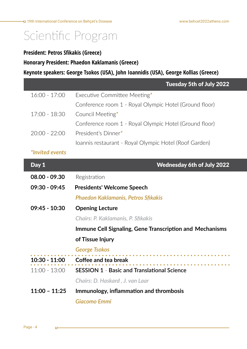$\begin{array}{cccccccccccccc} \bullet & \bullet & \bullet & \bullet & \bullet & \bullet & \bullet \end{array}$ 

<u>a sala</u>

## Scientific Program

#### **President: Petros Sfikakis (Greece)**

**Honorary President: Phaedon Kaklamanis (Greece)**

**Keynote speakers: George Tsokos (USA), John Ioannidis (USA), George Kollias (Greece)**

|                        | <b>Tuesday 5th of July 2022</b>                        |
|------------------------|--------------------------------------------------------|
| $16:00 - 17:00$        | Executive Committee Meeting*                           |
|                        | Conference room 1 - Royal Olympic Hotel (Ground floor) |
| $17:00 - 18:30$        | Council Meeting*                                       |
|                        | Conference room 1 - Royal Olympic Hotel (Ground floor) |
| $20:00 - 22:00$        | President's Dinner*                                    |
|                        | Ioannis restaurant - Royal Olympic Hotel (Roof Garden) |
| <i>*Invited events</i> |                                                        |
| Day 1                  | <b>Wednesday 6th of July 2022</b>                      |
| $08.00 - 09.30$        | Registration                                           |

**09:30 - 09:45 Presidents' Welcome Speech** 

 *Phaedon Kaklamanis, Petros Sfikakis*

**09:45 - 10:30 Opening Lecture**

 *Chairs: P. Kaklamanis, P. Sfikakis*

**Immune Cell Signaling, Gene Transcription and Mechanisms** 

#### **of Tissue Injury**

#### *George Tsokos*

| $10:30 - 11:00$ Coffee and tea break                        |
|-------------------------------------------------------------|
| $11:00 - 13:00$ SESSION 1 - Basic and Translational Science |
| Chairs: D. Haskard, J. van Laar                             |

**11:00 – 11:25 Immunology, inflammation and thrombosis**

*Giacomo Emmi* 

n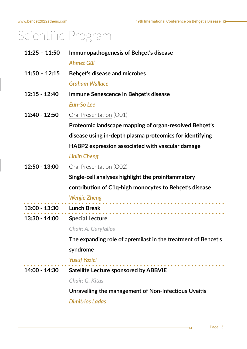| $11:25 - 11:50$ | <b>Immunopathogenesis of Behçet's disease</b>                 |
|-----------------|---------------------------------------------------------------|
|                 | <b>Ahmet Gül</b>                                              |
| $11:50 - 12:15$ | Behçet's disease and microbes                                 |
|                 | <b>Graham Wallace</b>                                         |
| $12:15 - 12:40$ | Immune Senescence in Behçet's disease                         |
|                 | <b>Eun-So Lee</b>                                             |
| 12:40 - 12:50   | Oral Presentation (O01)                                       |
|                 | Proteomic landscape mapping of organ-resolved Behçet's        |
|                 | disease using in-depth plasma proteomics for identifying      |
|                 | HABP2 expression associated with vascular damage              |
|                 | <b>Linlin Cheng</b>                                           |
| $12:50 - 13:00$ | Oral Presentation (O02)                                       |
|                 | Single-cell analyses highlight the proinflammatory            |
|                 | contribution of C1q-high monocytes to Behçet's disease        |
|                 | <b>Wenjie Zheng</b>                                           |
| $13:00 - 13:30$ | <b>Lunch Break</b>                                            |
| 13:30 - 14:00   | <b>Special Lecture</b>                                        |
|                 | <b>Chair: A. Garyfallos</b>                                   |
|                 | The expanding role of apremilast in the treatment of Behcet's |
|                 | syndrome                                                      |
|                 | <b>Yusuf Yazici</b>                                           |
| 14:00 - 14:30   | <b>Satellite Lecture sponsored by ABBVIE</b>                  |
|                 | Chair: G. Kitas                                               |

**Unravelling the management of Non-Infectious Uveitis**

*Dimitrios Ladas*

нq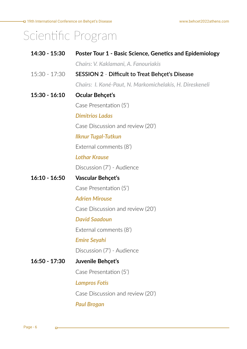[19th International Conference on Behçet's Disease](https://www.behcet2020athens.com/)

# Scientific Program

| 14:30 - 15:30   | <b>Poster Tour 1 - Basic Science, Genetics and Epidemiology</b> |
|-----------------|-----------------------------------------------------------------|
|                 | Chairs: V. Kaklamani, A. Fanouriakis                            |
| $15:30 - 17:30$ | <b>SESSION 2 - Difficult to Treat Behçet's Disease</b>          |
|                 | Chairs: I. Koné-Paut, N. Markomichelakis, H. Direskeneli        |
| $15:30 - 16:10$ | Ocular Behçet's                                                 |
|                 | Case Presentation (5')                                          |
|                 | <b>Dimitrios Ladas</b>                                          |
|                 | Case Discussion and review (20')                                |
|                 | <b>Ilknur Tugal-Tutkun</b>                                      |
|                 | External comments (8')                                          |
|                 | <b>Lothar Krause</b>                                            |
|                 | Discussion (7') - Audience                                      |
| $16:10 - 16:50$ | Vascular Behçet's                                               |
|                 | Case Presentation (5')                                          |
|                 | <b>Adrien Mirouse</b>                                           |
|                 | Case Discussion and review (20')                                |
|                 | <b>David Saadoun</b>                                            |
|                 | External comments (8')                                          |
|                 | <b>Emire Seyahi</b>                                             |
|                 | Discussion (7') - Audience                                      |
| $16:50 - 17:30$ | Juvenile Behçet's                                               |
|                 | Case Presentation (5')                                          |
|                 | <b>Lampros Fotis</b>                                            |
|                 | Case Discussion and review (20')                                |
|                 | <b>Paul Brogan</b>                                              |
|                 |                                                                 |

 $\Box$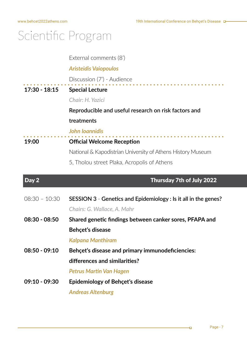External comments (8')

### *Aristeidis Vaiopoulos*

Discussion (7') - Audience

**17:30 - 18:15 Special Lecture**

#### *Chair: H. Yazici*

**Reproducible and useful research on risk factors and** 

#### **treatments**

#### *John Ioannidis*

**19:00 Official Welcome Reception**

National & Kapodistrian University of Athens History Museum

5, Tholou street Plaka, Acropolis of Athens

### Day 2 Thursday 7th of July 2022

| $08:30 - 10:30$ | SESSION 3 - Genetics and Epidemiology : Is it all in the genes? |
|-----------------|-----------------------------------------------------------------|
|                 | Chairs: G. Wallace, A. Mahr                                     |
| $08:30 - 08:50$ | Shared genetic findings between canker sores, PFAPA and         |
|                 | <b>Behcet's disease</b>                                         |
|                 | <b>Kalpana Manthiram</b>                                        |
| $08:50 - 09:10$ | Behçet's disease and primary immunodeficiencies:                |
|                 | differences and similarities?                                   |
|                 | Petrus Martin Van Hagen                                         |
| $09:10 - 09:30$ | Epidemiology of Behçet's disease                                |
|                 | <b>Andreas Altenburg</b>                                        |

łп,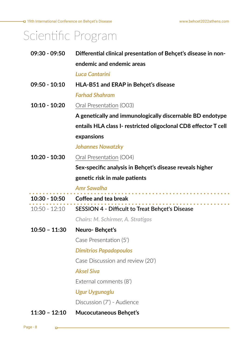| $09:30 - 09:50$ | Differential clinical presentation of Behçet's disease in non-  |
|-----------------|-----------------------------------------------------------------|
|                 | endemic and endemic areas                                       |
|                 | Luca Cantarini                                                  |
| $09:50 - 10:10$ | HLA-B51 and ERAP in Behçet's disease                            |
|                 | <b>Farhad Shahram</b>                                           |
| $10:10 - 10:20$ | Oral Presentation (O03)                                         |
|                 | A genetically and immunologically discernable BD endotype       |
|                 | entails HLA class I- restricted oligoclonal CD8 effector T cell |
|                 | expansions                                                      |
|                 | <b>Johannes Nowatzky</b>                                        |
| $10:20 - 10:30$ | Oral Presentation (O04)                                         |
|                 | Sex-specific analysis in Behçet's disease reveals higher        |
|                 | genetic risk in male patients                                   |
|                 |                                                                 |
|                 | <b>Amr Sawalha</b>                                              |
| 10:30 - 10:50   | Coffee and tea break                                            |
| $10:50 - 12:10$ | <b>SESSION 4 - Difficult to Treat Behçet's Disease</b>          |
|                 | <b>Chairs: M. Schirmer, A. Stratigos</b>                        |
| $10:50 - 11:30$ | Neuro-Behçet's                                                  |
|                 | Case Presentation (5')                                          |
|                 | <b>Dimitrios Papadopoulos</b>                                   |
|                 | Case Discussion and review (20')                                |
|                 | <b>Aksel Siva</b>                                               |
|                 | External comments (8')                                          |
|                 | <b>Ugur Uygunoglu</b>                                           |
|                 | Discussion (7') - Audience                                      |

Page - 8

 $\Box$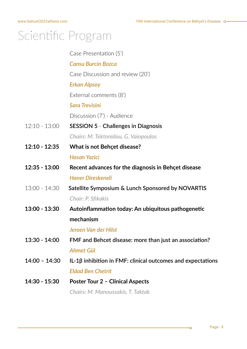Case Presentation (5')  *Cansu Burcin Bozca* Case Discussion and review (20') *Erkan Alpsoy*  External comments (8') *Sara Trevisini*  Discussion (7') - Audience 12:10 - 13:00 **SESSION 5** - **Challenges in Diagnosis**   *Chairs: M. Tektonidou, G. Vaiopoulos* **12:10 - 12:35 What is not Behçet disease?**   *Hasan Yazici*  **12:35 - 13:00 Recent advances for the diagnosis in Behçet disease**   *Haner Direskeneli*  13:00 - 14:30 **Satellite Symposium & Lunch Sponsored by NOVARTIS**  *Chair: P. Sfikakis* **13:00 - 13:30 Autoinflammation today: An ubiquitous pathogenetic mechanism**  *Jeroen Van der Hilst* **13:30 - 14:00 FMF and Behcet disease: more than just an association?**  *Ahmet Gül* **14:00 – 14:30 IL-1β inhibition in FMF: clinical outcomes and expectations**  *Eldad Ben Chetrit* **14:30 - 15:30 Poster Tour 2 – Clinical Aspects**  *Chairs: M. Manoussakis, T. Taktak*

łп,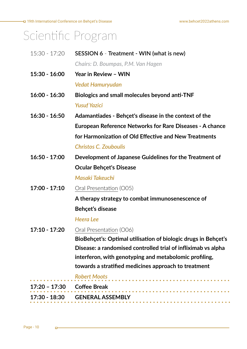[www.behcet2022athens.com](https://www.behcet2020athens.com/)

# Scientific Program

| $15:30 - 17:20$ | SESSION 6 - Treatment - WIN (what is new)                       |
|-----------------|-----------------------------------------------------------------|
|                 | Chairs: D. Boumpas, P.M. Van Hagen                              |
| $15:30 - 16:00$ | Year in Review - WIN                                            |
|                 | <b>Vedat Hamuryudan</b>                                         |
| $16:00 - 16:30$ | Biologics and small molecules beyond anti-TNF                   |
|                 | <b>Yusuf Yazici</b>                                             |
| $16:30 - 16:50$ | Adamantiades - Behçet's disease in the context of the           |
|                 | <b>European Reference Networks for Rare Diseases - A chance</b> |
|                 | for Harmonization of Old Effective and New Treatments           |
|                 | <b>Christos C. Zouboulis</b>                                    |
| $16:50 - 17:00$ | Development of Japanese Guidelines for the Treatment of         |
|                 | <b>Ocular Behçet's Disease</b>                                  |
|                 | Masaki Takeuchi                                                 |
| $17:00 - 17:10$ | Oral Presentation (O05)                                         |
|                 | A therapy strategy to combat immunosenescence of                |
|                 | Behçet's disease                                                |
|                 | <b>Heera Lee</b>                                                |
| $17:10 - 17:20$ | Oral Presentation (O06)                                         |
|                 | BioBehçet's: Optimal utilisation of biologic drugs in Behçet's  |
|                 | Disease: a randomised controlled trial of infliximab vs alpha   |
|                 | interferon, with genotyping and metabolomic profiling,          |
|                 | towards a stratified medicines approach to treatment            |
|                 | <b>Robert Moots</b>                                             |
| 17:20 – 17:30   | <b>Coffee Break</b>                                             |
|                 | 17:30 - 18:30 GENERAL ASSEMBLY                                  |
|                 |                                                                 |

 $\Box$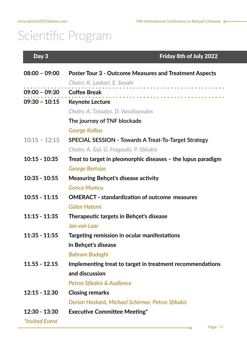### Day 3 Friday 8th of July 2022

| $08:00 - 09:00$            | <b>Poster Tour 3 - Outcome Measures and Treatment Aspects</b> |
|----------------------------|---------------------------------------------------------------|
|                            | Chairs: K. Laskari, E. Seyahi                                 |
| 09:00 - 09:30 Coffee Break |                                                               |
| $09:30 - 10:15$            | <b>Keynote Lecture</b>                                        |
|                            | Chairs: A. Tzioufas, D. Vassilopoulos                         |
|                            | The journey of TNF blockade                                   |
|                            | <b>George Kollias</b>                                         |
| $10:15 - 12:15$            | <b>SPECIAL SESSION - Towards A Treat-To-Target Strategy</b>   |
|                            | Chairs: A. Gül, G. Fragoulis, P. Sfikakis                     |
| $10:15 - 10:35$            | Treat to target in pleomorphic diseases – the lupus paradigm  |
|                            | <b>George Bertsias</b>                                        |
| $10:35 - 10:55$            | <b>Measuring Behcet's disease activity</b>                    |
|                            | <b>Gonca Mumcu</b>                                            |
| $10:55 - 11:15$            | <b>OMERACT - standardization of outcome measures</b>          |
|                            | Gülen Hatemi                                                  |
| $11:15 - 11:35$            | Therapeutic targets in Behçet's disease                       |
|                            | Jan van Laar                                                  |
| $11:35 - 11:55$            | Targeting remission in ocular manifestations                  |
|                            | in Behçet's disease                                           |
|                            | Bahram Bodaghi                                                |
| $11.55 - 12.15$            | Implementing treat to target in treatment recommendations     |
|                            | and discussion                                                |
|                            | <b>Petros Sfikakis &amp; Audience</b>                         |
| $12:15 - 12.30$            | <b>Closing remarks</b>                                        |
|                            | Dorian Haskard, Michael Schirmer, Petros Sfikakis             |
| $12:30 - 13:30$            | <b>Executive Committee Meeting*</b>                           |
| *Invited Event             |                                                               |

нþ,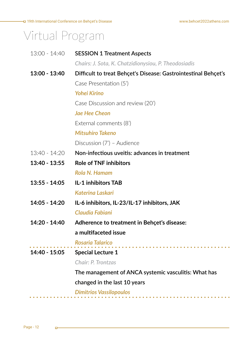→ [19th International Conference on Behçet's Disease](https://www.behcet2020athens.com/)

# Virtual Program

| 13:00 - 14:40   | <b>SESSION 1 Treatment Aspects</b>                             |
|-----------------|----------------------------------------------------------------|
|                 | Chairs: J. Sota, K. Chatzidionysiou, P. Theodosiadis           |
| 13:00 - 13:40   | Difficult to treat Behçet's Disease: Gastrointestinal Behçet's |
|                 | Case Presentation (5')                                         |
|                 | <b>Yohei Kirino</b>                                            |
|                 | Case Discussion and review (20')                               |
|                 | <b>Jae Hee Cheon</b>                                           |
|                 | External comments (8')                                         |
|                 | <b>Mitsuhiro Takeno</b>                                        |
|                 | Discussion (7') - Audience                                     |
| 13:40 - 14:20   | Non-infectious uveitis: advances in treatment                  |
| 13:40 - 13:55   | <b>Role of TNF inhibitors</b>                                  |
|                 | Rola N. Hamam                                                  |
| $13:55 - 14:05$ | <b>IL-1 inhibitors TAB</b>                                     |
|                 | Katerina Laskari                                               |
| 14:05 - 14:20   | IL-6 inhibitors, IL-23/IL-17 inhibitors, JAK                   |
|                 | Claudia Fabiani                                                |
| 14:20 - 14:40   | Adherence to treatment in Behçet's disease:                    |
|                 | a multifaceted issue                                           |
|                 | Rosaria Talarico                                               |
| 14:40 - 15:05   | <b>Special Lecture 1</b>                                       |
|                 | <b>Chair: P. Trontzas</b>                                      |
|                 | The management of ANCA systemic vasculitis: What has           |
|                 | changed in the last 10 years                                   |
|                 | <b>Dimitrios Vassilopoulos</b>                                 |
|                 |                                                                |

 $\Box$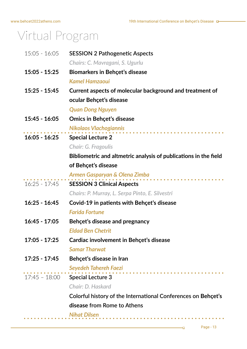## Virtual Program

| $15:05 - 16:05$ | <b>SESSION 2 Pathogenetic Aspects</b>                            |
|-----------------|------------------------------------------------------------------|
|                 | Chairs: C. Mavragani, S. Ugurlu                                  |
| $15:05 - 15:25$ | <b>Biomarkers in Behçet's disease</b>                            |
|                 | <b>Kamel Hamzaoui</b>                                            |
| $15:25 - 15:45$ | Current aspects of molecular background and treatment of         |
|                 | ocular Behçet's disease                                          |
|                 | <b>Quan Dong Nguyen</b>                                          |
| $15:45 - 16:05$ | <b>Omics in Behçet's disease</b>                                 |
|                 | <b>Nikolaos Vlachogiannis</b>                                    |
| $16:05 - 16:25$ | <b>Special Lecture 2</b>                                         |
|                 | Chair: G. Fragoulis                                              |
|                 | Bibliometric and altmetric analysis of publications in the field |
|                 | of Behçet's disease                                              |
|                 | Armen Gasparyan & Olena Zimba                                    |
| $16:25 - 17:45$ | <b>SESSION 3 Clinical Aspects</b>                                |
|                 | Chairs: P. Murray, L. Serpa Pinto, E. Silvestri                  |
| $16:25 - 16:45$ | Covid-19 in patients with Behçet's disease                       |
|                 | <b>Farida Fortune</b>                                            |
| $16:45 - 17:05$ | Behçet's disease and pregnancy                                   |
|                 | <b>Eldad Ben Chetrit</b>                                         |
| $17:05 - 17:25$ | Cardiac involvement in Behçet's disease                          |
|                 | <b>Samar Tharwat</b>                                             |
| $17:25 - 17:45$ | Behçet's disease in Iran                                         |
|                 | Seyedeh Tahereh Faezi                                            |
|                 | 17:45 - 18:00 Special Lecture 3                                  |
|                 | Chair: D. Haskard                                                |
|                 | Colorful history of the International Conferences on Behçet's    |
|                 | disease from Rome to Athens                                      |
|                 | <b>Nihat Dilsen</b>                                              |
|                 |                                                                  |

÷о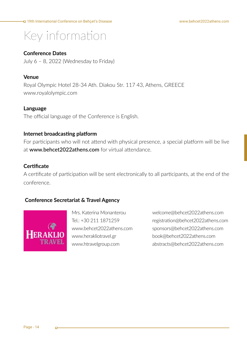## Key information

#### **Conference Dates**

July 6 – 8, 2022 (Wednesday to Friday)

#### **Venue**

Royal Olympic Hotel 28-34 Ath. Diakou Str. 117 43, Athens, GREECE www.royalolympic.com

#### **Language**

The official language of the Conference is English.

#### **Internet broadcasting platform**

For participants who will not attend with physical presence, a special platform will be live at www.behcet2022athens.com for virtual attendance.

#### **Certificate**

A certificate of participation will be sent electronically to all participants, at the end of the conference.

#### **Conference Secretariat & Travel Agency**



Mrs. Katerina Monanterou  $Tel + 30 211 1871259$ www.behcet2022athens.com www.herakliotravel.gr www.htravelgroup.com

welcome@behcet2022athens.com registration@behcet2022athens.com sponsors@behcet2022athens.com book@behcet2022athens.com abstracts@behcet2022athens.com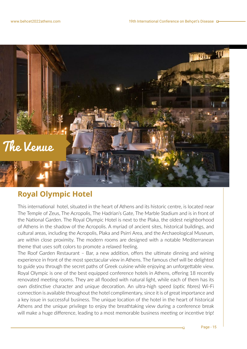

### **Royal Olympic Hotel**

This international hotel, situated in the heart of Athens and its historic centre, is located near The Temple of Zeus, The Acropolis, The Hadrian's Gate, The Marble Stadium and is in front of the National Garden. The Royal Olympic Hotel is next to the Plaka, the oldest neighborhood of Athens in the shadow of the Acropolis. A myriad of ancient sites, historical buildings, and cultural areas, including the Acropolis, Plaka and Psirri Area, and the Archaeological Museum, are within close proximity. The modern rooms are designed with a notable Mediterranean theme that uses soft colors to promote a relaxed feeling.

The Roof Garden Restaurant – Bar, a new addition, offers the ultimate dinning and wining experience in front of the most spectacular view in Athens. The famous chef will be delighted to guide you through the secret paths of Greek cuisine while enjoying an unforgettable view. Royal Olympic is one of the best equipped conference hotels in Athens, offering 18 recently renovated meeting rooms. They are all flooded with natural light, while each of them has its own distinctive character and unique decoration. An ultra-high speed (optic fibres) Wi-Fi connection is available throughout the hotel complimentary, since it is of great importance and a key issue in successful business. The unique location of the hotel in the heart of historical Athens and the unique privilege to enjoy the breathtaking view during a conference break will make a huge difference, leading to a most memorable business meeting or incentive trip!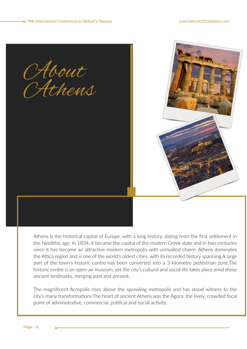CAbout Athens

Athens is the historical capital of Europe, with a long history, dating from the first settlement in the Neolithic age. In 1834, it became the capital of the modern Greek state and in two centuries since it has become an attractive modern metropolis with unrivalled charm. Athens dominates the Attica region and is one of the world's oldest cities, with its recorded history spanning.A large part of the town's historic centre has been converted into a 3-kilometre pedestrian zone.The historic centre is an open-air museum, yet the city's cultural and social life takes place amid these ancient landmarks, merging past and present.

The magnificent Acropolis rises above the sprawling metropolis and has stood witness to the city's many transformations.The heart of ancient Athens was the Agora, the lively, crowded focal point of administrative, commercial, political and social activity.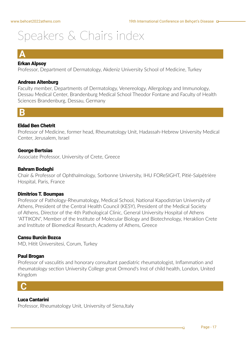### **A**

#### Erkan Alpsoy

Professor, Department of Dermatology, Akdeniz University School of Medicine, Turkey

#### Andreas Altenburg

Faculty member, Departments of Dermatology, Venereology, Allergology and Immunology, Dessau Medical Center, Brandenburg Medical School Theodor Fontane and Faculty of Health Sciences Brandenburg, Dessau, Germany



#### Eldad Ben Chetrit

Professor of Medicine, former head, Rheumatology Unit, Hadassah-Hebrew University Medical Center, Jerusalem, Israel

#### George Bertsias

Associate Professor, University of Crete, Greece

#### Bahram Bodaghi

Chair & Professor of Ophthalmology, Sorbonne University, IHU FOReSIGHT, Pitié-Salpêtrière Hospital, Paris, France

#### Dimitrios T. Boumpas

Professor of Pathology-Rheumatology, Medical School, National Kapodistrian University of Athens, President of the Central Health Council (KESY), President of the Medical Society of Athens, Director of the 4th Pathological Clinic, General University Hospital of Athens "ATTIKON", Member of the Institute of Molecular Biology and Biotechnology, Heraklion Crete and Institute of Biomedical Research, Academy of Athens, Greece

#### Cansu Burcin Bozca

MD, Hitit Üniversitesi, Corum, Turkey

#### Paul Brogan

Professor of vasculitis and honorary consultant paediatric rheumatologist, Inflammation and rheumatology section University College great Ormond's Inst of child health, London, United Kingdom

### **C**

#### Luca Cantarini

Professor, Rheumatology Unit, University of Siena, Italy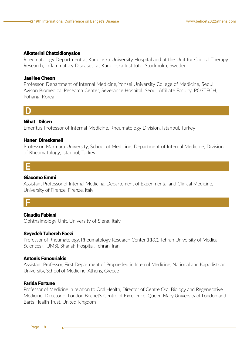#### Aikaterini Chatzidionysiou

Rheumatology Department at Karolinska University Hospital and at the Unit for Clinical Therapy Research, Inflammatory Diseases, at Karolinska Institute, Stockholm, Sweden

#### JaeHee Cheon

Professor, Department of Internal Medicine, Yonsei University College of Medicine, Seoul, Avison Biomedical Research Center, Severance Hospital, Seoul, Affiliate Faculty, POSTECH, Pohang, Korea

### **D**

#### Nihat Dilsen

Emeritus Professor of Internal Medicine, Rheumatology Division, Istanbul, Turkey

#### Haner Direskeneli

Professor, Marmara University, School of Medicine, Department of Internal Medicine, Division of Rheumatology, Istanbul, Turkey



#### Giacomo Emmi

Assistant Professor of Internal Medicina, Departement of Experimental and Clinical Medicine, University of Firenze, Firenze, Italy

### **F**

#### Claudia Fabiani

Ophthalmology Unit, University of Siena, Italy

#### Seyedeh Tahereh Faezi

Professor of Rheumatology, Rheumatology Research Center (RRC), Tehran University of Medical Sciences (TUMS), Shariati Hospital, Tehran, Iran

#### Antonis Fanouriakis

Assistant Professor, First Department of Propaedeutic Internal Medicine, National and Kapodistrian University, School of Medicine, Athens, Greece

#### Farida Fortune

Professor of Medicine in relation to Oral Health, Director of Centre Oral Biology and Regenerative Medicine, Director of London Bechet's Centre of Excellence, Queen Mary University of London and Barts Health Trust, United Kingdom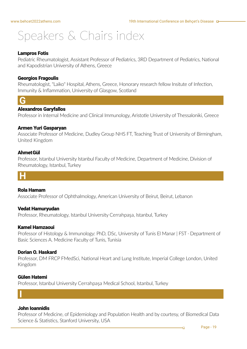#### Lampros Fotis

Pediatric Rheumatologist, Assistant Professor of Pediatrics, 3RD Department of Pediatrics, National and Kapodistrian University of Athens, Greece

#### Georgios Fragoulis

Rheumatologist, "Laiko" Hospital, Athens, Greece, Honorary research fellow Insitute of Infection, Immunity & Inflammation, University of Glasgow, Scotland

### **G**

#### Alexandros Garyfallos

Professor in Internal Medicine and Clinical Immunology, Aristotle University of Thessaloniki, Greece

#### Armen Yuri Gasparyan

Associate Professor of Medicine, Dudley Group NHS FT, Teaching Trust of University of Birmingham, United Kingdom

#### AhmetGül

Professor, Istanbul University Istanbul Faculty of Medicine, Department of Medicine, Division of Rheumatology, Istanbul, Turkey



#### Rola Hamam

Associate Professor of Ophthalmology, American University of Beirut, Beirut, Lebanon

#### Vedat Hamuryudan

Professor, Rheumatology, Istanbul University Cerrahpaşa, Istanbul, Turkey

#### Kamel Hamzaoui

Professor of Histology & Immunology: PhD, DSc, University of Tunis El Manar | FST · Department of Basic Sciences A. Medicine Faculty of Tunis, Tunisia

#### Dorian O. Haskard

Professor, DM FRCP FMedSci, National Heart and Lung Institute, Imperial College London, United Kingdom

#### Gülen Hatemi

**I**

Professor, Istanbul University Cerrahpaşa Medical School, Istanbul, Turkey

#### John Ioannidis

Professor of Medicine, of Epidemiology and Population Health and by courtesy, of Biomedical Data Science & Statistics, Stanford University, USA

łП,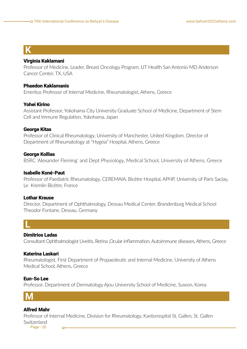### **K**

#### Virginia Kaklamani

Professor of Medicine, Leader, Breast Oncology Program, UT Health San Antonio MD Anderson Cancer Center, TX, USA

#### Phaedon Kaklamanis

Emeritus Professor of Internal Medicine, Rheumatologist, Athens, Greece

#### Yohei Kirino

Assistant Professor, Yokohama City University Graduate School of Medicine, Department of Stem Cell and Immune Regulation, Yokohama, Japan

#### George Kitas

Professor of Clinical Rheumatology, University of Manchester, United Kingdom. Director of Department of Rheumatology at "Hygeia" Hospital, Athens, Greece

#### George Kollias

BSRC 'Alexander Fleming' and Dept Physiology, Medical School, University of Athens, Greece

#### Isabelle Koné-Paut

Professor of Paediatric Rheumatology, CEREMAIA, Bicêtre Hospital, APHP, University of Paris Saclay, Le Kremlin Bicêtre, France

#### Lothar Krause

Director, Department of Ophthalmology, Dessau Medical Center, Brandenburg Medical School Theodor Fontane, Dessau, Germany



#### Dimitrios Ladas

Consultant Ophthalmologist Uveitis, Retina ,Ocular inflammation, Autoimmune diseases, Athens, Greece

#### Katerina Laskari

Rheumatologist, First Department of Propaedeutic and Internal Medicine, University of Athens Medical School, Athens, Greece

#### Eun-So Lee

Professor, Department of Dermatology Ajou University School of Medicine, Suwon, Korea



#### Alfred Mahr

Professor of Internal Medicine, Division for Rheumatology, Kantonsspital St. Gallen, St. Gallen **Switzerland** 

Page - 20

'n.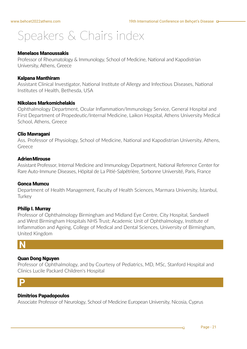#### Menelaos Manoussakis

Professor of Rheumatology & Immunology, School of Medicine, National and Kapodistrian University, Athens, Greece

#### Kalpana Manthiram

Assistant Clinical Investigator, National Institute of Allergy and Infectious Diseases, National Institutes of Health, Bethesda, USA

#### Nikolaos Markomichelakis

Ophthalmology Department, Ocular Inflammation/Immunology Service, General Hospital and First Department of Propedeutic/Internal Medicine, Laikon Hospital, Athens University Medical School, Athens, Greece

#### Clio Mavragani

Ass. Professor of Physiology, School of Medicine, National and Kapodistrian University, Athens, Greece

#### **Adrien Mirouse**

Assistant Professor, Internal Medicine and Immunology Department, National Reference Center for Rare Auto-Immune Diseases, Hôpital de La Pitié-Salpêtrière, Sorbonne Université, Paris, France

#### Gonca Mumcu

Department of Health Management, Faculty of Health Sciences, Marmara University, İstanbul, **Turkey** 

#### Philip I. Murray

Professor of Ophthalmology Birmingham and Midland Eye Centre, City Hospital, Sandwell and West Birmingham Hospitals NHS Trust; Academic Unit of Ophthalmology, Institute of Inflammation and Ageing, College of Medical and Dental Sciences, University of Birmingham, United Kingdom

### **N**

#### Quan Dong Nguyen

Professor of Ophthalmology, and by Courtesy of Pediatrics, MD, MSc, Stanford Hospital and Clinics Lucile Packard Children's Hospital

### **P**

#### Dimitrios Papadopoulos

Associate Professor of Neurology, School of Medicine European University, Nicosia, Cyprus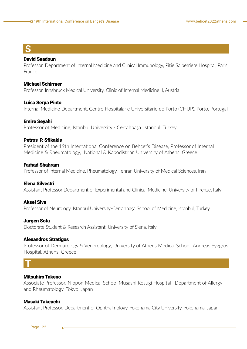### **S**

#### David Saadoun

Professor, Department of Internal Medicine and Clinical Immunology, Pitie Salpetriere Hospital, Paris, France

#### Michael Schirmer

Professor, Innsbruck Medical University, Clinic of Internal Medicine II, Austria

#### Luisa Serpa Pinto

Internal Medicine Department, Centro Hospitalar e Universitário do Porto (CHUP), Porto, Portugal

#### Emire Seyahi

Professor of Medicine, Istanbul University - Cerrahpaşa. Istanbul, Turkey

#### Petros P. Sfikakis

President of the 19th International Conference on Behçet's Disease, Professor of Internal Medicine & Rheumatology, National & Kapodistrian University of Athens, Greece

#### Farhad Shahram

Professor of Internal Medicine, Rheumatology, Tehran University of Medical Sciences, Iran

#### Elena Silvestri

Assistant Professor Department of Experimental and Clinical Medicine, University of Firenze, Italy

#### Aksel Siva

Professor of Neurology, Istanbul University-Cerrahpaşa School of Medicine, Istanbul, Turkey

#### Jurgen Sota

Doctorate Student & Research Assistant. University of Siena, Italy

#### Alexandros Stratigos

Professor of Dermatology & Venereology, University of Athens Medical School, Andreas Syggros Hospital, Athens, Greece

### **T**

#### Mitsuhiro Takeno

Associate Professor, Nippon Medical School Musashi Kosugi Hospital · Department of Allergy and Rheumatology, Tokyo, Japan

#### Masaki Takeuchi

Assistant Professor, Department of Ophthalmology, Yokohama City University, Yokohama, Japan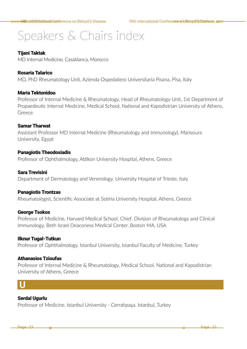#### Tijani Taktak

MD Internal Medicine, Casablanca, Morocco

#### Rosaria Talarico

MD, PhD Rheumatology Unit, Azienda Ospedaliero Universitaria Pisana, Pisa, Italy

#### Maria Tektonidou

Professor of Internal Medicine & Rheumatology, Head of Rheumatology Unit, 1st Department of Propaedeutic Internal Medicine, Medical School, National and Kapodistrian University of Athens, Greece

#### SamarTharwat

Assistant Professor MD Internal Medicine (Rheumatology and Immunology), Mansoura University, Egypt

#### Panagiotis Theodosiadis

Professor of Ophthalmology, Attikon University Hospital, Athens, Greece

#### Sara Trevisini

Department of Dermatology and Venerology, University Hospital of Trieste, Italy

#### Panagiotis Trontzas

Rheumatologist, Scientific Associate at Sotiria University Hospital, Athens, Greece

#### George Tsokos

Professor of Medicine, Harvard Medical School. Chief, Division of Rheumatology and Clinical Immunology, Beth Israel Deaconess Medical Center, Boston MA, USA

#### Ilknur Tugal-Tutkun

Professor of Ophthalmology, Istanbul University, Istanbul Faculty of Medicine, Turkey

#### Athanasios Tzioufas

Professor of Internal Medicine & Rheumatology, Medical School, National and Kapodistrian University of Athens, Greece

### **U**

#### Serdal Ugurlu

Professor of Medicine. Istanbul University - Cerrahpaşa. Istanbul, Turkey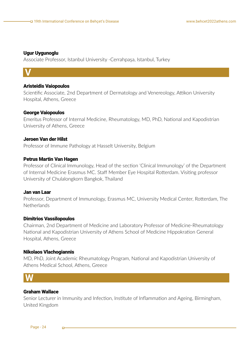#### Ugur Uygunoglu

Associate Professor, Istanbul University -Cerrahpaşa, Istanbul, Turkey

### **V**

#### Aristeidis Vaiopoulos

Scientific Associate, 2nd Department of Dermatology and Venereology, Attikon University Hospital, Athens, Greece

#### George Vaiopoulos

Emeritus Professor of Internal Medicine, Rheumatology, MD, PhD, National and Kapodistrian University of Athens, Greece

#### Jeroen Van der Hilst

Professor of Immune Pathology at Hasselt University, Belgium

#### Petrus Martin Van Hagen

Professor of Clinical Immunology, Head of the section 'Clinical Immunology' of the Department of Internal Medicine Erasmus MC. Staff Member Eye Hospital Rotterdam. Visiting professor University of Chulalongkorn Bangkok, Thailand

#### Jan van Laar

Professor, Department of Immunology, Erasmus MC, University Medical Center, Rotterdam, The **Netherlands** 

#### Dimitrios Vassilopoulos

Chairman, 2nd Department of Medicine and Laboratory Professor of Medicine-Rheumatology National and Kapodistrian University of Athens School of Medicine Hippokration General Hospital, Athens, Greece

#### Nikolaos Vlachogiannis

MD, PhD, Joint Academic Rheumatology Program, National and Kapodistrian University of Athens Medical School, Athens, Greece

### **W**

#### Graham Wallace

Senior Lecturer in Immunity and Infection, Institute of Inflammation and Ageing, Birmingham, United Kingdom